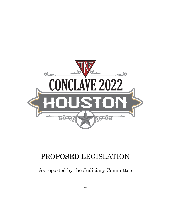

# PROPOSED LEGISLATION

As reported by the Judiciary Committee

**--**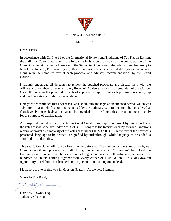

#### May 16, 2022

Dear Fraters:

In accordance with Ch. I, § 11 of the International Bylaws and Traditions of Tau Kappa Epsilon, the Judiciary Committee submits the following legislative proposals for the consideration of the Grand Chapter at the Second Session of the Sixty-First Conclave of the International Fraternity to be held in Houston, Texas on July 26, 2022. Summaries have been included for your convenience, along with the complete text of each proposal and advisory recommendations by the Grand Council.

I strongly encourage all delegates to review the attached proposals and discuss them with the officers and members of your chapter, Board of Advisors, and/or chartered alumni association. Carefully consider the potential impacts of approval or rejection of each proposal on your group and the International Fraternity as a whole.

Delegates are reminded that under the Black Book, only the legislation attached hereto–which was submitted in a timely fashion and reviewed by the Judiciary Committee–may be considered at Conclave. Proposed legislation may not be amended from the floor unless the amendment is solely for the purpose of clarification.

All proposed amendments to the International Constitution require approval by three-fourths of the votes cast at Conclave under Art. XVI, § 1. Changes to the International Bylaws and Traditions require approval by a majority of the votes cast under Ch. XXXII, § 1. In the text of the proposals presented, language to be deleted is signified by strikethrough, while language to be added is signified by underlining.

This year's Conclave will truly be like no other before it. The emergency measures taken by our Grand Council and professional staff during this unprecedented "triennium" have kept the Fraternity stable and our members safe, but nothing can replace the fellowship and camaraderie of hundreds of Fraters coming together from every corner of TKE Nation. This long-awaited opportunity to celebrate our brotherhood in person is an exciting one indeed.

I look forward to seeing you in Houston, Fraters. As always, I remain–

Yours In The Bond,

David W. Towne, Esq. Judiciary Chairman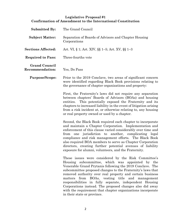# **Legislative Proposal #1 Confirmation of Amendment to the International Constitution**

| <b>Submitted By:</b>                           | The Grand Council                                                                                                                                                                                                                                                                                                                                                                                                                                                                                                                                                               |
|------------------------------------------------|---------------------------------------------------------------------------------------------------------------------------------------------------------------------------------------------------------------------------------------------------------------------------------------------------------------------------------------------------------------------------------------------------------------------------------------------------------------------------------------------------------------------------------------------------------------------------------|
| <b>Subject Matter:</b>                         | Separation of Boards of Advisors and Chapter Housing<br>Corporations                                                                                                                                                                                                                                                                                                                                                                                                                                                                                                            |
| <b>Sections Affected:</b>                      | Art. VI, § 1; Art. XIV, §§ 1–5; Art. XV, §§ 1–3                                                                                                                                                                                                                                                                                                                                                                                                                                                                                                                                 |
| <b>Required to Pass:</b>                       | Three-fourths vote                                                                                                                                                                                                                                                                                                                                                                                                                                                                                                                                                              |
| <b>Grand Council</b><br><b>Recommendation:</b> | Yes, Do Pass                                                                                                                                                                                                                                                                                                                                                                                                                                                                                                                                                                    |
| <b>Purpose/Scope:</b>                          | Prior to the 2019 Conclave, two areas of significant concern<br>were identified regarding Black Book provisions relating to<br>the governance of chapter organizations and property:                                                                                                                                                                                                                                                                                                                                                                                            |
|                                                | First, the Fraternity's laws did not require any separation<br>between chapters' Boards of Advisors (BOAs) and housing<br>This potentially exposed the Fraternity and its<br>entities.<br>chapters to increased liability in the event of litigation arising<br>from a risk incident at, or otherwise relating to, any housing<br>or real property owned or used by a chapter.                                                                                                                                                                                                  |
|                                                | Second, the Black Book required each chapter to incorporate<br>and maintain a Chapter Corporation. Implementation and<br>enforcement of this clause varied considerably over time and<br>from one jurisdiction to another, complicating legal<br>compliance and risk management efforts. The Black Book<br>also required BOA members to serve as Chapter Corporation<br>directors, creating further potential avenues of liability<br>exposure for alumni, volunteers, and the Fraternity                                                                                       |
|                                                | These issues were considered by the Risk Committee's<br>Housing subcommittee, which was appointed by the<br>Venerable Grand Prytanis following the 2019 Conclave. The<br>subcommittee proposed changes to the Fraternity's laws that<br>removed authority over real property and certain business<br>BOAs, vesting title and management<br>from<br>matters<br>responsibilities in fully separate, independent Housing<br>Corporations instead. The proposed changes also did away<br>with the requirement that chapter organizations incorporate<br>in their state or province. |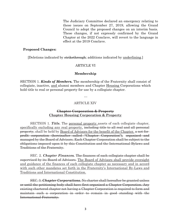The Judiciary Committee declared an emergency relating to these issues on September 27, 2019, allowing the Grand Council to adopt the proposed changes on an interim basis. These changes, if not expressly confirmed by the Grand Chapter at the 2022 Conclave, will revert to the language in effect at the 2019 Conclave.

#### **Proposed Changes:**

[Deletions indicated by strikethrough; additions indicated by underlining.]

#### ARTICLE VI

#### **Membership**

SECTION 1. *Kinds of Members.* The membership of the Fraternity shall consist of collegiate, inactive, and alumni members and Chapter Housing Corporations which hold title to real or personal property for use by a collegiate chapter.

…

#### ARTICLE XIV

#### **Chapter Corporation & Property Chapter Housing Corporation & Property**

SECTION 1. *Title.* The personal property assets of each collegiate chapter, specifically excluding any real property, including title to all real and all personal property, shall be held by Board of Advisors for the benefit of the Chapter. a not-forprofit corporation (hereinafter called "Chapter Corporation"), organized and managed by the Board of Advisors. Each Chapter Corporation shall be subject to the obligations imposed upon it by this Constitution and the International Bylaws and Traditions of the Fraternity.

SEC. 2. *Chapter Finances.* The finances of each collegiate chapter shall be supervised by its Board of Advisors. The Board of Advisors shall provide oversight and guidance of the finances of each collegiate chapter as necessary and in accord with such other mandates set forth in the Fraternity's International By-Laws and Traditions and International Constitution.

SEC. 3. *Chapter Corporations.* No charter shall hereafter be granted unless or until the petitioning body shall have first organized a Chapter Corporation. Any existing chartered chapter not having a Chapter Corporation is required to form and maintain such a corporation in order to remain in good standing with the International Fraternity.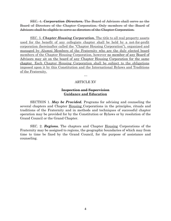SEC. 4. *Corporation Directors***.** The Board of Advisors shall serve as the Board of Directors of the Chapter Corporation. Only members of the Board of Advisors shall be eligible to serve as directors of the Chapter Corporation.

SEC. 5. *Chapter Housing Corporation.* The title to all real property assets used for the benefit of any collegiate chapter shall be held by a not-for-profit corporation (hereinafter called the "Chapter Housing Corporation"), organized and managed by Alumni Members of the Fraternity who are the duly elected board members of the Chapter Housing Corporation, however no member of any Board of Advisors may sit on the board of any Chapter Housing Corporation for the same chapter. Each Chapter Housing Corporation shall be subject to the obligations imposed upon it by this Constitution and the International Bylaws and Traditions of the Fraternity.

ARTICLE XV

…

#### **Inspection and Supervision Guidance and Education**

SECTION 1. *May be Provided.* Programs for advising and counseling the several chapters and Chapter Housing Corporations in the principles, rituals and traditions of the Fraternity and in methods and techniques of successful chapter operation may be provided for by the Constitution or Bylaws or by resolution of the Grand Council or the Grand Chapter.

SEC. 2. *Regions.* The chapters and Chapter Housing Corporations of the Fraternity may be assigned to regions, the geographic boundaries of which may from time to time be fixed by the Grand Council, for the purpose of assistance and counseling.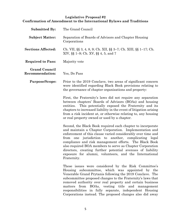# **Legislative Proposal #2 Confirmation of Amendment to the International Bylaws and Traditions**

| <b>Submitted By:</b>                           | The Grand Council                                                                                                                                                                                                                                                                                                                                                                                                                                                                                                 |
|------------------------------------------------|-------------------------------------------------------------------------------------------------------------------------------------------------------------------------------------------------------------------------------------------------------------------------------------------------------------------------------------------------------------------------------------------------------------------------------------------------------------------------------------------------------------------|
| <b>Subject Matter:</b>                         | Separation of Boards of Advisors and Chapter Housing<br>Corporations                                                                                                                                                                                                                                                                                                                                                                                                                                              |
| <b>Sections Affected:</b>                      | Ch. VII, $\S\S 3$ , 4, 8, 9; Ch. XII, $\S \ \ 3$ –7; Ch. XIII, $\S \ \ 1$ –17; Ch.<br>XIV, §§ 1–9; Ch. XV, §§ 4, 5, and 7                                                                                                                                                                                                                                                                                                                                                                                         |
| <b>Required to Pass:</b>                       | Majority vote                                                                                                                                                                                                                                                                                                                                                                                                                                                                                                     |
| <b>Grand Council</b><br><b>Recommendation:</b> | Yes, Do Pass                                                                                                                                                                                                                                                                                                                                                                                                                                                                                                      |
| <b>Purpose/Scope:</b>                          | Prior to the 2019 Conclave, two areas of significant concern<br>were identified regarding Black Book provisions relating to<br>the governance of chapter organizations and property:                                                                                                                                                                                                                                                                                                                              |
|                                                | First, the Fraternity's laws did not require any separation<br>between chapters' Boards of Advisors (BOAs) and housing<br>This potentially exposed the Fraternity and its<br>entities.<br>chapters to increased liability in the event of litigation arising<br>from a risk incident at, or otherwise relating to, any housing<br>or real property owned or used by a chapter.                                                                                                                                    |
|                                                | Second, the Black Book required each chapter to incorporate<br>and maintain a Chapter Corporation. Implementation and<br>enforcement of this clause varied considerably over time and<br>jurisdiction to another, complicating legal<br>from<br>one<br>compliance and risk management efforts. The Black Book<br>also required BOA members to serve as Chapter Corporation<br>directors, creating further potential avenues of liability<br>exposure for alumni, volunteers, and the International<br>Fraternity. |
|                                                | These issues were considered by the Risk Committee's<br>Housing subcommittee, which was appointed by the<br>Venerable Grand Prytanis following the 2019 Conclave. The<br>subcommittee proposed changes to the Fraternity's laws that<br>removed authority over real property and certain business<br>matters from BOAs, vesting title and management<br>responsibilities in fully separate, independent Housing<br>Corporations instead. The proposed changes also did away                                       |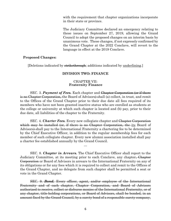with the requirement that chapter organizations incorporate in their state or province.

The Judiciary Committee declared an emergency relating to these issues on September 27, 2019, allowing the Grand Council to adopt the proposed changes on an interim basis by unanimous vote. These changes, if not expressly confirmed by the Grand Chapter at the 2022 Conclave, will revert to the language in effect at the 2019 Conclave.

#### **Proposed Changes:**

[Deletions indicated by strikethrough; additions indicated by underlining.]

#### **DIVISION TWO: FINANCE**

#### CHAPTER VII: **Fraternity Finance**

SEC. 3. *Payment of Fees.* Each chapter and Chapter Corporation (or if there is no Chapter Corporation, the Board of Advisors) shall (a) collect, in trust, and remit to the Offices of the Grand Chapter prior to their due date all fees required of its members who have not been granted inactive status who are enrolled as students at the college or university at which such chapter is located and (b) pay, prior to their due date, all liabilities of the chapter to the Fraternity.

SEC. 4. *Charter Fees.* Every new collegiate chapter and Chapter Corporation which may be installed (or, if there is no Chapter Corporation, the its Board of Advisors) shall pay to the International Fraternity a chartering fee to be determined by the Chief Executive Officer, in addition to the regular membership fees for each member of such collegiate chapter. Every new alumni association installed shall pay a charter fee established annually by the Grand Council.

…

SEC. 8. *Chapter in Arrears.* The Chief Executive Officer shall report to the Judiciary Committee, at its meeting prior to each Conclave, any chapter, Chapter Corporation or Board of Advisors in arrears to the International Fraternity on any of its obligations or for any fees which it is required to collect and remit to the Offices of the Grand Chapter, and no delegate from such chapter shall be permitted a seat or vote in the Grand Chapter.

SEC. 9. *Bond.* Every officer, agent, and/or employee of the International Fraternity and of each chapter, Chapter Corporation, and Board of Advisors authorized to receive, collect or disburse monies of the International Fraternity, or of any chapter, title-holding corporations, or Board of Advisors, shall be bonded, in an amount fixed by the Grand Council, by a surety bond of a responsible surety company,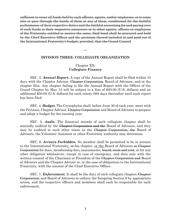sufficient to cover all funds held by such officers, agents, and/or employees, or to come into or pass through the hands of them or any of them, conditioned for the faithful performance of their respective duties and the faithful accounting for and paying over of such funds to their respective successors or to other agents, officers or employees of the Fraternity entitled to receive the same. Said bond shall be procured and held by the Chief Executive Officer and the premium thereof included in and paid out of the International Fraternity's budget; provided, that the Grand Council

**DIVISION THREE: COLLEGIATE ORGANIZATION**

**…**

# Chapter XII: **Collegiate Finance**

SEC. 3. *Annual Report.* A copy of the Annual Report shall be filed within 10 days with the Chapter Advisor, Chapter Corporation, Board of Advisors, and in the chapter files. Any chapter failing to file the Annual Report with the Offices of the Grand Chapter by May 15 will be subject to a fine of \$50.00 (U.S. dollars) and an additional \$50.00 (U.S. dollars) for each ninety (90) days thereafter until such report has been filed.

SEC. 4. *Budget.* The Crysophylos shall, before June 30 of each year, meet with the Prytanis, Chapter Advisor, Chapter Corporation and Board of Advisors to prepare and adopt a budget for the ensuing year.

SEC. 5. *Audit.* The financial records of each collegiate chapter shall be annually audited by the Chapter Corporation and the Board of Advisors, and they may be audited at such other times as the Chapter Corporation, the Board of Advisors, the Volunteer Assistant or other Fraternity authority may determine.

SEC. 6. *Arrears Forbidden.* No member shall be permitted to be in arrears to the International Fraternity,  $\theta$ -his chapter, or the Board of Advisors  $\theta$ -Chapter Corporation for dues, membership fees, assessments, board, room and rent, or for any other obligation whatsoever, except in case of emergency, and then only with the written consent of the Chairman or President of the Chapter Corporation and Board of Advisors and the Chapter Advisor or, in the case of obligations to the International Fraternity, with the consent of the Chief Executive Officer.

SEC. 7. *Enforcement.* It shall be the duty of each collegiate chapter, Chapter Corporation, and Board of Advisors to enforce the foregoing Section 6 by appropriate action, and the respective officers and members shall each be responsible for such enforcement.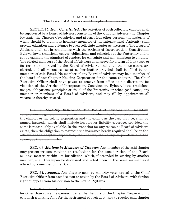#### CHAPTER XIII: **The Board of Advisors and Chapter Corporation**

SECTION 1. *How Constituted.* The activities of each collegiate chapter shall be supervised by a Board of Advisors consisting of the Chapter Advisor, the Chapter Prytanis, the Chapter Crysophylos, and at least four other persons, the majority of whom should be alumni or honorary members of the International Fraternity shall provide education and guidance to each collegiate chapter as necessary. The Board of Advisors shall act in compliance with the Articles of Incorporation, Constitution, Bylaws, laws, traditions, usages, obligations, and principles of the Fraternity and to set by example the standard of conduct for collegiate and non-members to emulate. The elected members of the Board of Advisors shall serve for a term of four years or for terms as approved by the Board of Advisors, and until their successors are elected, and all vacancies except as hereinafter provided shall be filled by the members of said Board. No member of any Board of Advisors may be a member of the board of any Chapter Housing Corporation for the same chapter. The Chief Executive Officer shall have power to remove from office at his discretion, for violation of the Articles of Incorporation, Constitution, Bylaws, laws, traditions, usages, obligations, principles or ritual of the Fraternity or other good cause, any member or members of a Board of Advisors, and may fill by appointment all vacancies thereby created.

SEC. 3. *Liability Insurance.* The Board of Advisors shall maintain comprehensive general liability insurance under which the chapter corporation and the chapter or the colony corporation and the colony, as the case may be, shall be named insureds, which shall include host liquor liability coverage, provided the same is reason- ably available. In the event that for any reason no Board of Advisors exists, then the obligation to maintain the insurance herein required shall be on the officers of the chapter corporation, the chapter, the colony corporation and the colony, as the case may be.

…

SEC. 4 3. *Motions by Members of Chapter.* Any member of the said chapter may present written motions or resolutions for the consideration of the Board, or any matter within its jurisdiction, which, if seconded in writing by another member, shall thereupon be discussed and voted upon in the same manner as if offered by a member of the Board.

SEC. 54. *Appeals.* Any chapter may, by majority vote, appeal to the Chief Executive Officer from any decision or action by the Board of Advisors, with further right of appeal from his decision to the Grand Prytanis.

SEC. 6. *Sinking Fund.* Whenever any chapter shall be or become indebted for other than current expenses, it shall be the duty of the Chapter Corporation to establish a sinking fund for the retirement of such debt, and to require said chapter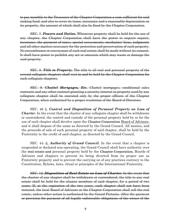to pay monthly to the Treasurer of the Chapter Corporation a sum sufficient for said sinking fund, and also to cover its taxes, insurance and a reasonable depreciation on its property, the amount of which shall also be fixed by the Chapter Corporation.

SEC. 7. *Powers and Duties.* Whenever property shall be held for the use of any chapter, the Chapter Corporation shall have the power to require repairs, insurance, the payment of taxes, special assessments, mechanics' liens, judgments and all other matters necessary for the protection and preservation of such property. No encumbrance or conveyance of such real estate shall be made without its consent. It shall have power to prohibit any act or omission which may waste or damage the said property.

SEC. 8. *Title to Property.* The title to all real and personal property of the several collegiate chapters shall vest in and be held by the Chapter Corporation for such collegiate chapters.

SEC. 9. *Chattel Mortgages, Etc.* Chattel mortgages, conditional sales contracts and any other contract granting a security interest in property used by any collegiate chapter shall be executed only by the proper officers of the Chapter Corporation, when authorized by a proper resolution of the Board of Directors.

SEC. 10 5. *Control and Disposition of Personal Property on Loss of Charter*. In the event that the charter of any collegiate chapter shall be withdrawn or surrendered, the control and custody of the personal property held by or for the use of such chapter shall devolve upon the Chapter Corporation Board of Advisors, and it shall dispose of the same as directed by the Grand Council. All monies, and the proceeds of sale of such personal property of said chapter, shall be held by the Fraternity to the credit of said chapter, as directed by the Grand Council.

SEC.  $\ddots$  41. 6. *Authority of Grand Council*. In the event that a chapter is suspended or declared non-operating, the Grand Council shall have authority over the real estate and personal property held by the Chapter Corporation, Boards of Advisors and chapters to prevent its being diverted from its proper use as Fraternity property and to prevent the carrying on of any practices contrary to the Constitution, Bylaws, laws, ritual or principles of the International Fraternity.

SEC. 12. *Disposition of Real Estate on Loss of Charter.* In the event that the charter of any chapter shall be withdrawn or surrendered, the title to any real estate shall be held for the alumni members of said chapter, for a period of two years. If, at the expiration of the two years, such chapter shall not have been restored, the local Board of Advisors or the Chapter Corporation shall sell the real estate, unless other action is authorized by the Grand Prytanis. After the payment or provision for payment of all legally enforceable obligations of the owner of the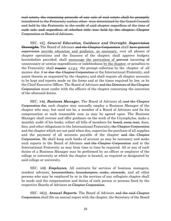real estate, the remaining proceeds of any sale of real estate shall be promptly transferred to the Fraternity (unless other- wise determined by the Grand Council) and held by the Fraternity to the credit of said chapter regardless of the time of such sale and regardless of whether title was held by the chapter, Chapter Corporation or Board of Advisors.

SEC. 137. *General Education, Guidance and Oversight. Supervision Oversight.* The Board of Advisors and the Chapter Corporation shall have general supervision provide education and guidance, as necessary, over all phases of chapter operations and the finances of the chapter; shall approve budgets hereinbefore provided; shall encourage the prevention of prevent incurring of unnecessary or unwise expenditures or indebtedness by the chapter, or penalties to the Fraternity; shall require u r g e the prompt collection by the chapter of all monies due it or due the Chapter Corporation or the International Fraternity, and assist therein as requested by the chapter<sub>i</sub> and shall require all chapter accounts to be kept and reports made on the forms and at the times required by law, or by the Chief Executive Officer. The Board of Advisors and the Directors of the Chapter Corporation must confer with the officers of the chapter concerning the execution of the aforesaid duties.

SEC. 148. *Business Manager.* The Board of Advisors of, and the Chapter Corporation for, each chapter may annually employ a Business Manager of the chapter who may, but need not be, a member of a Board of Advisors and fix his compensation at such reasonable sum as may be agreed upon. The Business Manager shall oversee and offer guidance on the work of the Crysophylos, make a monthly audit of his books; collect all bills of members for <del>board, room rent,</del> dues, fees, and other obligations to the International Fraternity<del>, the Chapter Corporation</del> and the chapter which are not paid when due, supervise the purchase of all supplies and the payment of all accounts payable of the chapter and the Chapter Corporation. He shall keep such books of account as may be necessary and make such reports to the Board of Advisors and the Chapter Corporation and to the International Fraternity as may from time to time be required. All or any of such duties of a Business Manager may be performed by an officer or employee of the college or university at which the chapter is located, as required or designated by said college or university.

SEC.  $\frac{159}{100}$ . *Employees.* All contracts for services of business managers, resident advisors, housemothers, housekeepers, cooks, stewards, and all other persons who may be employed by or in the services of any collegiate chapter shall be made and the compensation and duties of such person or persons fixed by the respective Boards of Advisors <del>or Chapter Corporation</del>.

SEC. 1610. *Annual Reports.* The Board of Advisors and the said Chapter Corporation shall file an annual report with the chapter, the Secretary of the Board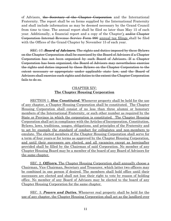of Advisors, the Secretary of the Chapter Corporation and the International Fraternity. The report shall be on forms supplied by the International Fraternity and shall include information as may be deemed necessary by the Grand Council from time to time. The annual report shall be filed no later than May 15 of each year. Additionally, a financial report and a copy of the Chapter's and/or Chapter Corporation Internal Revenue Service Form 990 annual tax filings shall be filed with the Offices of the Grand Chapter by November 15 of each year.

SEC. 17. *Board of Advisors.* The rights and duties imposed by these Bylaws on the Chapter Corporation shall be exercised by the Board of Advisors if a Chapter Corporation has not been organized by such Board of Advisors. If a Chapter Corporation has been organized, the Board of Advisors may nevertheless exercise the rights and duties imposed by these Bylaws on the Chapter Corporation to the extent necessary or appropriate under applicable state law, and the Board of Advisors shall exercise such rights and duties to the extent the Chapter Corporation fails to do so.

# CHAPTER XIV: **The Chapter Housing Corporation**

SECTION 1. *How Constituted.* Whenever property shall be held for the use of any chapter, a Chapter Housing Corporation shall be constituted. The Chapter Housing Corporation shall consist of no less than three alumni or honorary members of the International Fraternity, or such other number as required by the State or Province in which the corporation is constituted. The Chapter Housing Corporation shall act in compliance with the Articles of Incorporation, Constitution, Bylaws, laws, traditions, usages, obligations, and principles of the Fraternity and to set by example the standard of conduct for collegiates and non-members to emulate. The elected members of the Chapter Housing Corporation shall serve for a term of four years or for terms as approved by the Chapter Housing Corporation, and until their successors are elected, and all vacancies except as hereinafter provided shall be filled by the Chairman of said Corporation. No member of any Chapter Housing Board may be a member of the board of any Board of Advisors for the same chapter.

SEC. 2. *Officers.* The Chapter Housing Corporation shall annually choose a Chairman, Vice Chairman, Secretary and Treasurer, which latter two officers may be combined in one person if desired. The members shall hold office until their successors are elected and shall not lose their right to vote by reason of holding office. No member of any Board of Advisors may be elected to the board of any Chapter Housing Corporation for the same chapter.

SEC. 3. *Powers and Duties.* Whenever real property shall be held for the use of any chapter, the Chapter Housing Corporation shall act as the landlord over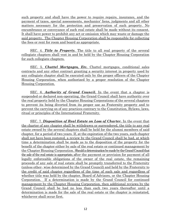such property and shall have the power to require repairs, insurance, and the payment of taxes, special assessments, mechanics' liens, judgments and all other matters necessary for the protection and preservation of such property. No encumbrance or conveyance of such real estate shall be made without its consent. It shall have power to prohibit any act or omission which may waste or damage the said property. The Chapter Housing Corporation shall be responsible for collecting the fees or rent for room and board as appropriate.

SEC. 4. *Title to Property.* The title to all real property of the several collegiate chapters shall vest in and be held by the Chapter Housing Corporation for such collegiate chapters.

SEC. 5. *Chattel Mortgages, Etc.* Chattel mortgages, conditional sales contracts and any other contract granting a security interest in property used by any collegiate chapter shall be executed only by the proper officers of the Chapter Housing Corporation, when authorized by a proper resolution of the Chapter Housing Corporation.

SEC. 6. *Authority of Grand Council.* In the event that a chapter is suspended or declared non-operating, the Grand Council shall have authority over the real property held by the Chapter Housing Corporations of the several chapters to prevent its being diverted from its proper use as Fraternity property and to prevent the carrying on of any practices contrary to the Constitution, Bylaws, laws, ritual or principles of the International Fraternity.

SEC. 7. *Disposition of Real Estate on Loss of Charter.* In the event that the charter of any chapter shall be withdrawn or surrendered, the title to any real estate owned by the several chapters shall be held for the alumni members of said chapter, for a period of two years. If, at the expiration of the two years, such chapter shall not have been restored, a review by the Grand Council shall be had, at which time a determination shall be made as to the disposition of the property for the benefit of the chapter either by sale of the real estate or continued management by the Chapter Housing Corporation. Should a determination be made by the Grand Council that the sale of the real estate is appropriate, after the payment or provision for payment of all legally enforceable obligations of the owner of the real estate, the remaining proceeds of any sale of real estate shall be promptly transferred to the Fraternity (unless other- wise determined by the Grand Council) and held by the Fraternity to the credit of said chapter regardless of the time of such sale and regardless of whether title was held by the chapter, Board of Advisors, or the Chapter Housing Corporation. If a determination is made by the Grand Council for continued management by the Chapter Housing Corporation, then additional reviews by the Grand Council shall be had no less than each two years thereafter until a determination is made for the sale of the real estate or the chapter is reinstated, whichever shall occur first.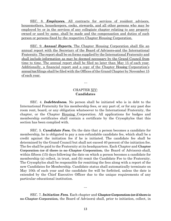SEC. 8. *Employees.* All contracts for services of resident advisors, housemothers, housekeepers, cooks, stewards, and all other persons who may be employed by or in the services of any collegiate chapter relating to any property owned or used by same, shall be made and the compensation and duties of such person or persons fixed by the respective Chapter Housing Corporation.

SEC. 9. *Annual Reports.* The Chapter Housing Corporation shall file an annual report with the Secretary of the Board of Advisors and the International Fraternity.The report shall be on forms supplied by the International Fraternity and shall include information as may be deemed necessary by the Grand Council from time to time. The annual report shall be filed no later than May 15 of each year. Additionally, a financial report and a copy of the Chapter Housing Corporation's annualtax filings shall be filed with the Offices of the Grand Chapter by November 15 of each year.

#### CHAPTER XIV: **Candidates**

…

SEC. 4. *Indebtedness.* No person shall be initiated who is in debt to the International Fraternity for his membership fees, or any part of, or for any past due room rent, board, or any obligation whatsoever to the International Fraternity, the chapter, or the Chapter Housing Corporation. All applications for badges and membership certificates shall contain a certificate by the Crysophylos that this section has been complied with.

SEC. 5. *Candidate Fees.* On the date that a person becomes a candidate for membership, he is obligated to pay a non-refundable candidate fee, which shall be a credit against the initiation fee if he is initiated. The candidate fee shall be determined by the Grand Council but shall not exceed 40 percent of the initiation fee. The fee shall be paid to the Fraternity at its headquarters. Each Chapter and Chapter Corporation (or if there is no Chapter Corporation, the Board of Advisors) shall, within fifteen (15) days following the date on which a person becomes a candidate for membership (a) collect, in trust, and (b) remit the Candidate Fee to the Fraternity. The Crysophylos shall be responsible for remitting the fees along with a report of the new Candidates for Membership. Candidate status shall automatically terminate on May 10th of each year and the candidate fee will be forfeited, unless the date is extended by the Chief Executive Officer due to the unique requirements of any particular educational institution.

SEC. 7. *Initiation Fees.* Each chapter and Chapter Corporation (or if there is no Chapter Corporation, the Board of Advisors) shall, prior to initiation, collect, in

…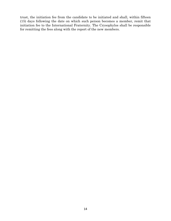trust, the initiation fee from the candidate to be initiated and shall, within fifteen (15) days following the date on which such person becomes a member, remit that initiation fee to the International Fraternity. The Crysophylos shall be responsible for remitting the fees along with the report of the new members.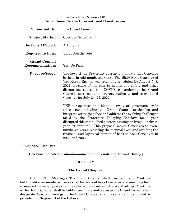## **Legislative Proposal #3 Amendment to the International Constitution**

| <b>Submitted By:</b>                           | The Grand Council                                                                                                                                                                                                                                                                                                                                                                                                                                                                                                                |
|------------------------------------------------|----------------------------------------------------------------------------------------------------------------------------------------------------------------------------------------------------------------------------------------------------------------------------------------------------------------------------------------------------------------------------------------------------------------------------------------------------------------------------------------------------------------------------------|
| <b>Subject Matter:</b>                         | Conclave Schedule                                                                                                                                                                                                                                                                                                                                                                                                                                                                                                                |
| <b>Sections Affected:</b>                      | Art. II, $\S 8$                                                                                                                                                                                                                                                                                                                                                                                                                                                                                                                  |
| <b>Required to Pass:</b>                       | Three-fourths vote                                                                                                                                                                                                                                                                                                                                                                                                                                                                                                               |
| <b>Grand Council</b><br><b>Recommendation:</b> | Yes, Do Pass                                                                                                                                                                                                                                                                                                                                                                                                                                                                                                                     |
| <b>Purpose/Scope:</b>                          | The laws of the Fraternity currently mandate that Conclave<br>be held in odd-numbered years. The Sixty-First Conclave of<br>Tau Kappa Epsilon was originally scheduled for August 5–8,<br>2021. Because of the risk to health and safety and other<br>disruptions caused the COVID-19 pandemic, the Grand<br>Council exercised its emergency authority and rescheduled<br>Conclave for July $24-27$ , $2022$ .                                                                                                                   |
|                                                | TKE has operated on a biennial (two-year) governance cycle<br>since 1924, allowing the Grand Council to develop and<br>integrate strategic policy and address the evolving challenges<br>faced by the Fraternity. Delaying Conclave for a year<br>disrupted this established pattern, causing an irregular three-<br>year "triennium." This proposal moves Conclaves to even-<br>numbered years, restoring the biennial cycle and avoiding the<br>financial and logistical burden of back-to-back Conclaves in<br>2022 and 2023. |

#### **Proposed Changes:**

[Deletions indicated by strikethrough; additions indicated by underlining.]

# ARTICLE VI

# **The Grand Chapter**

SECTION 8. *Meetings.* The Grand Chapter shall meet annually. Meetings held in odd even numbered years shall be referred to as Conclaves and meetings held in even odd number years shall be referred to as Administrative Meetings. Meetings of the Grand Chapter shall be held at such time and places as the Grand Council shall designate. Special meetings of the Grand Chapter shall be called and conducted as provided in Chapter III of the Bylaws.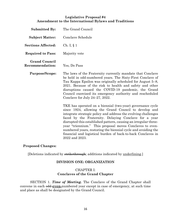# **Legislative Proposal #4 Amendment to the International Bylaws and Traditions**

| <b>Submitted By:</b>                           | The Grand Council                                                                                                                                                                                                                                                                                                                                                                                                                                                                                                                |
|------------------------------------------------|----------------------------------------------------------------------------------------------------------------------------------------------------------------------------------------------------------------------------------------------------------------------------------------------------------------------------------------------------------------------------------------------------------------------------------------------------------------------------------------------------------------------------------|
| <b>Subject Matter:</b>                         | Conclave Schedule                                                                                                                                                                                                                                                                                                                                                                                                                                                                                                                |
| <b>Sections Affected:</b>                      | Ch. I, $\S$ 1                                                                                                                                                                                                                                                                                                                                                                                                                                                                                                                    |
| <b>Required to Pass:</b>                       | Majority vote                                                                                                                                                                                                                                                                                                                                                                                                                                                                                                                    |
| <b>Grand Council</b><br><b>Recommendation:</b> | Yes, Do Pass                                                                                                                                                                                                                                                                                                                                                                                                                                                                                                                     |
| <b>Purpose/Scope:</b>                          | The laws of the Fraternity currently mandate that Conclave<br>be held in odd-numbered years. The Sixty-First Conclave of<br>Tau Kappa Epsilon was originally scheduled for August 5–8,<br>2021. Because of the risk to health and safety and other<br>disruptions caused the COVID-19 pandemic, the Grand<br>Council exercised its emergency authority and rescheduled<br>Conclave for July $24-27$ , $2022$ .                                                                                                                   |
|                                                | TKE has operated on a biennial (two-year) governance cycle<br>since 1924, allowing the Grand Council to develop and<br>integrate strategic policy and address the evolving challenges<br>faced by the Fraternity. Delaying Conclave for a year<br>disrupted this established pattern, causing an irregular three-<br>year "triennium." This proposal moves Conclaves to even-<br>numbered years, restoring the biennial cycle and avoiding the<br>financial and logistical burden of back-to-back Conclaves in<br>2022 and 2023. |

#### **Proposed Changes:**

[Deletions indicated by strikethrough; additions indicated by underlining.]

# **DIVISION ONE: ORGANIZATION**

# CHAPTER I: **Conclaves of the Grand Chapter**

SECTION 1. *Time of Meeting.* The Conclave of the Grand Chapter shall convene in each odd-**even-**numbered year except in case of emergency, at such time and place as shall be designated by the Grand Council.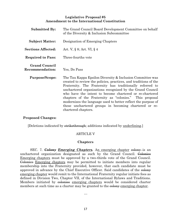#### **Legislative Proposal #5 Amendment to the International Constitution**

| <b>Submitted By:</b>                           | The Grand Council Board Development Committee on behalf<br>of the Diversity & Inclusion Subcommittee                                                                                                                                                                                                                                                                                                                                                                                                                          |
|------------------------------------------------|-------------------------------------------------------------------------------------------------------------------------------------------------------------------------------------------------------------------------------------------------------------------------------------------------------------------------------------------------------------------------------------------------------------------------------------------------------------------------------------------------------------------------------|
| <b>Subject Matter:</b>                         | Designation of Emerging Chapters                                                                                                                                                                                                                                                                                                                                                                                                                                                                                              |
| <b>Sections Affected:</b>                      | Art. V, $\S 8$ ; Art. VI, $\S 4$                                                                                                                                                                                                                                                                                                                                                                                                                                                                                              |
| <b>Required to Pass:</b>                       | Three-fourths vote                                                                                                                                                                                                                                                                                                                                                                                                                                                                                                            |
| <b>Grand Council</b><br><b>Recommendation:</b> | Yes, Do Pass                                                                                                                                                                                                                                                                                                                                                                                                                                                                                                                  |
| <b>Purpose/Scope:</b>                          | The Tau Kappa Epsilon Diversity & Inclusion Committee was<br>created to review the policies, practices, and traditions of the<br>Fraternity. The Fraternity has traditionally referred to<br>unchartered organizations recognized by the Grand Council<br>who have the intent to become chartered or re-chartered<br>chapters of the Fraternity as "colonies." This proposal<br>modernizes the language used to better reflect the purpose of<br>these unchartered groups in becoming chartered or re-<br>chartered chapters. |

#### **Proposed Changes:**

[Deletions indicated by strikethrough; additions indicated by underlining.]

#### ARTICLE V

#### **Chapters**

SEC. 7. **Colony** *Emerging Chapters*. An emerging chapter colony is an unchartered organization designated as such by the Grand Council. Colonies Emerging chapters must be approved by a two-thirds vote of the Grand Council. Colonies Emerging chapters may be permitted to initiate members into regular membership into the Fraternity provided, however, that each candidate must be approved in advance by the Chief Executive Officer. Said candidates of the eolony emerging chapter would remit to the International Fraternity regular initiate fees as defined in Division Two, Chapter VII, of the International Bylaws and Traditions. Members initiated by colonies emerging chapters would be considered charter members at such time as a charter may be granted to the colony emerging chapter.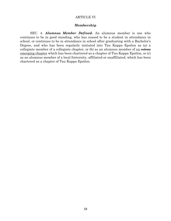#### ARTICLE VI

#### **Membership**

SEC. 4. *Alumnus Member Defined.* An alumnus member is one who continues to be in good standing, who has ceased to be a student in attendance in school, or continues to be in attendance in school after graduating with a Bachelor's Degree, and who has been regularly initiated into Tau Kappa Epsilon as (a) a collegiate member of a collegiate chapter, or  $(b)$  as an alumnus member of an evolution emerging chapter which has been chartered as a chapter of Tau Kappa Epsilon, or (c) as an alumnus member of a local fraternity, affiliated or unaffiliated, which has been chartered as a chapter of Tau Kappa Epsilon.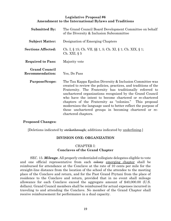## **Legislative Proposal #6 Amendment to the International Bylaws and Traditions**

| <b>Submitted By:</b>                           | The Grand Council Board Development Committee on behalf<br>of the Diversity & Inclusion Subcommittee                                                                                                                                                                                                                                                                                                                                                                                                                          |
|------------------------------------------------|-------------------------------------------------------------------------------------------------------------------------------------------------------------------------------------------------------------------------------------------------------------------------------------------------------------------------------------------------------------------------------------------------------------------------------------------------------------------------------------------------------------------------------|
| <b>Subject Matter:</b>                         | Designation of Emerging Chapters                                                                                                                                                                                                                                                                                                                                                                                                                                                                                              |
| <b>Sections Affected:</b>                      | Ch. I, § 15; Ch. VII, §§ 1, 5; Ch. XI, § 1; Ch. XIX, § 1;<br>Ch. XXI, $\S$ 5                                                                                                                                                                                                                                                                                                                                                                                                                                                  |
| <b>Required to Pass:</b>                       | Majority vote                                                                                                                                                                                                                                                                                                                                                                                                                                                                                                                 |
| <b>Grand Council</b><br><b>Recommendation:</b> | Yes, Do Pass                                                                                                                                                                                                                                                                                                                                                                                                                                                                                                                  |
| <b>Purpose/Scope:</b>                          | The Tau Kappa Epsilon Diversity & Inclusion Committee was<br>created to review the policies, practices, and traditions of the<br>Fraternity. The Fraternity has traditionally referred to<br>unchartered organizations recognized by the Grand Council<br>who have the intent to become chartered or re-chartered<br>chapters of the Fraternity as "colonies." This proposal<br>modernizes the language used to better reflect the purpose of<br>these unchartered groups in becoming chartered or re-<br>chartered chapters. |

#### **Proposed Changes:**

[Deletions indicated by strikethrough; additions indicated by underlining.]

#### **DIVISION ONE: ORGANIZATION**

# CHAPTER I: **Conclaves of the Grand Chapter**

SEC. 15. *Mileage.* All properly credentialed collegiate delegates eligible to vote and one official representative from each colony emerging chapter shall be reimbursed for attendance at the Conclave at the rate of 10 cents per mile for the straight-line distance from the location of the school of the attendee to the meeting place of the Conclave and return, and for the Past Grand Prytani from the place of residence to the Conclave and return, provided that in no event shall mileage allowance for each Conclave exceed the aggregate amount of \$40,000.00 (U.S. dollars). Grand Council members shall be reimbursed for actual expenses incurred in traveling to and attending the Conclave. No member of the Grand Chapter shall receive reimbursement for performance in a dual capacity.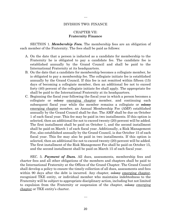#### DIVISION TWO: FINANCE

…

#### CHAPTER VII: **Fraternity Finance**

SECTION 1. *Membership Fees.* The membership fees are an obligation of each member of the Fraternity. The fees shall be paid as follows:

- A. On the date that a person is inducted as a candidate for membership to the Fraternity he is obligated to pay a candidate fee. The candidate fee is established annually by the Grand Council and shall be paid to the International Fraternity at its headquarters.
- B. On the date that a candidate for membership becomes a collegiate member, he is obligated to pay a membership fee. The collegiate initiate fee is established annually by the Grand Council. If this fee is not remitted within fifteen (15) days of becoming a collegiate member, then an additional fee not to exceed forty (40) percent of the collegiate initiate fee shall apply. The appropriate fee shall be paid to the International Fraternity at its headquarters.
- C. Beginning the fiscal year following the fiscal year in which a person becomes a collegiate or colony emerging chapter member, and continuing each subsequent fiscal year while the member remains a collegiate or eolony emerging chapter member, an Annual Membership Fee (AMF) established annually by the Grand Council shall be due. The AMF shall be due on October 1 of each fiscal year. This fee may be paid in two installments. If this option is selected, then an additional fee not to exceed twenty (20) percent will be added. The first installment shall be paid on October 1, and the second installment shall be paid on March 1 of each fiscal year. Additionally, a Risk Management Fee, also established annually by the Grand Council, is due October 15 of each fiscal year. This fee may also be paid in two installments. If this option is selected, then an additional fee not to exceed twenty (20) percent will be added. The first installment of the Risk Management Fee shall be paid on October 15, and the second installment shall be paid on March 15 of each fiscal year.

SEC. 5. *Payment of Dues.* All dues, assessments, membership fees and charter fees and all other obligations of the members and chapters shall be paid to the International Fraternity at the Offices of the Grand Chapter. The Grand Council shall develop a policy to ensure the timely collection of all dues, assessments and fees within 90 days after the debt is incurred. Any chapter, examplement emerging chapter, recognized TKE entity, or individual member who maintains indebtedness to the Fraternity will be subject to appropriate disciplinary action, including but not limited to expulsion from the Fraternity or suspension of the chapter, estence emerging chapter or TKE entity's charter.

…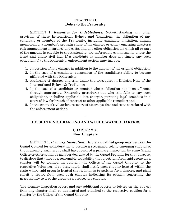#### CHAPTER XI **Debts to the Fraternity**

SECTION 1. *Remedies for Indebtedness.* Notwithstanding any other provision of these International Bylaws and Traditions, the obligation of any candidate or member of the Fraternity, including candidate, initiation, annual membership, a member's pro-rata share of his chapter or colony emerging chapter's risk management insurance and costs, and any other obligation for which all or part of the amount is payable to the Fraternity, are enforceable commitments under the Bond and under civil law. If a candidate or member does not timely pay such obligation(s) to the Fraternity, enforcement actions may include:

- 1. Imposition of late charges in addition to the amount of the original obligation;
- 2. In the case of a candidate, suspension of the candidate's ability to become affiliated with the Fraternity;
- 3. Preferring of charges and trial under the procedures in Division Nine of the International Bylaws & Traditions;
- 4. In the case of a candidate or member whose obligation has been affirmed through appropriate Fraternity procedures but who still fails to pay such obligations, including applicable late charges, pursuing legal remedies in a court of law for breach of contract or other applicable remedies; and
- 5. In the event of civil action, recovery of attorneys' fees and costs associated with the enforcement actions.

#### **DIVISION FIVE: GRANTING AND WITHDRAWING CHARTERS**

…

#### CHAPTER XIX: **New Chapters**

SECTION 1. *Primary Inspection.* Before a qualified group may petition the Grand Council for consideration to become a recognized colony emerging chapter of the Fraternity, such group shall have received a primary inspection, by some Grand Officer or other alumnus member designated by the Grand Prytanis for that purpose, to disclose that there is a reasonable probability that a petition from said group for a charter will be granted. In addition, the Offices of the Grand Chapter, or the respective Volunteer, if so designated, shall notify each chapter located within the state where said group is located that it intends to petition for a charter, and shall solicit a report from each such chapter indicating its opinion concerning the acceptability to it of the group as a prospective chapter.

The primary inspection report and any additional reports or letters on the subject from any chapter shall be duplicated and attached to the respective petition for a charter by the Offices of the Grand Chapter.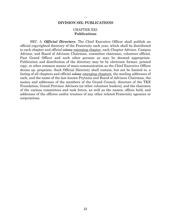#### **DIVISION SIX: PUBLICATIONS**

#### CHAPTER XXI: **Publications**

SEC. 5. *Official Directory.* The Chief Executive Officer shall publish an official copyrighted directory of the Fraternity each year, which shall be distributed to each chapter and official colony emerging chapter, each Chapter Advisor, Campus Advisor, and Board of Advisors Chairman, committee chairman, volunteer official, Past Grand Officer and such other persons as may be deemed appropriate. Publication and distribution of the directory may be by electronic format, printed copy, or other common means of mass communication as the Chief Executive Officer deems ap- propriate. Such Official Directory shall contain, but not be limited to, a listing of all chapters and official colony emerging chapters, the mailing addresses of each, and the name of the last known Prytanis and Board of Advisors Chairman, the names and addresses of the members of the Grand Council, directors of the TKE Foundation, Grand Province Advisors (or other volunteer leaders), and the chairmen of the various committees and task forces, as well as the names, offices held, and addresses of the officers and/or trustees of any other related Fraternity agencies or corporations.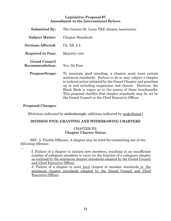# **Legislative Proposal #7 Amendment to the International Bylaws**

| <b>Submitted By:</b>                    | The Greater St. Louis TKE Alumni Association                                                                                                                                                                                                                                                                                                                                                                                         |
|-----------------------------------------|--------------------------------------------------------------------------------------------------------------------------------------------------------------------------------------------------------------------------------------------------------------------------------------------------------------------------------------------------------------------------------------------------------------------------------------|
| <b>Subject Matter:</b>                  | Chapter Standards                                                                                                                                                                                                                                                                                                                                                                                                                    |
| <b>Sections Affected:</b>               | Ch. XX, $\S$ 5                                                                                                                                                                                                                                                                                                                                                                                                                       |
| <b>Required to Pass:</b>                | Majority vote                                                                                                                                                                                                                                                                                                                                                                                                                        |
| <b>Grand Council</b><br>Recommendation: | Yes, Do Pass                                                                                                                                                                                                                                                                                                                                                                                                                         |
| <b>Purpose/Scope:</b>                   | To maintain good standing, a chapter must meet certain<br>minimum standards. Failure to do so may subject a chapter<br>to judicial action initiated by the Grand Chapter and penalties<br>up to and including suspension and closure. However, the<br>Black Book is vague as to the source of these benchmarks.<br>This proposal clarifies that chapter standards may be set by<br>the Grand Council or the Chief Executive Officer. |

# **Proposed Changes:**

[Deletions indicated by strikethrough; additions indicated by underlining.]

#### **DIVISION FIVE: GRANTING AND WITHDRAWING CHARTERS**

#### CHAPTER XX: **Chapter Charter Status**

SEC. 5. Triable Offenses. A chapter may be tried for committing one of the following offenses:

…

I. Failure of a chapter to initiate new members, resulting in an insufficient number of collegiate members to carry on the function of a collegiate chapter as outlined by the minimum chapter standards adopted by the Grand Council and Chief Executive Officer.

J. Failure of a chapter to meet local chapter or member standards or the minimum chapter standards adopted by the Grand Council and Chief Executive Officer.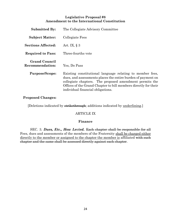# **Legislative Proposal #8 Amendment to the International Constitution**

| <b>Submitted By:</b>                           | The Collegiate Advisory Committee                                                                                                                                                                                                                                                            |
|------------------------------------------------|----------------------------------------------------------------------------------------------------------------------------------------------------------------------------------------------------------------------------------------------------------------------------------------------|
| <b>Subject Matter:</b>                         | Collegiate Fees                                                                                                                                                                                                                                                                              |
| <b>Sections Affected:</b>                      | Art. IX, $\S$ 3                                                                                                                                                                                                                                                                              |
| <b>Required to Pass:</b>                       | Three-fourths vote                                                                                                                                                                                                                                                                           |
| <b>Grand Council</b><br><b>Recommendation:</b> | Yes, Do Pass                                                                                                                                                                                                                                                                                 |
| <b>Purpose/Scope:</b>                          | Existing constitutional language relating to member fees,<br>dues, and assessments places the entire burden of payment on<br>collegiate chapters. The proposed amendment permits the<br>Offices of the Grand Chapter to bill members directly for their<br>individual financial obligations. |

# **Proposed Changes:**

[Deletions indicated by strikethrough; additions indicated by underlining.]

#### ARTICLE IX

#### **Finance**

SEC. 3. *Dues, Etc., How Levied.* Each chapter shall be responsible for all Fees, dues and assessments of the members of the Fraternity shall be charged either directly to the member or assigned to the chapter the member is affiliated with such chapter and the same shall be assessed directly against each chapter.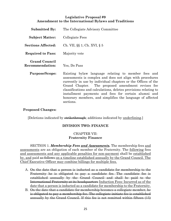# **Legislative Proposal #9 Amendment to the International Bylaws and Traditions**

| <b>Submitted By:</b>                    | The Collegiate Advisory Committee                                                                                                                                                                                                                                                                                                                                                                                                            |
|-----------------------------------------|----------------------------------------------------------------------------------------------------------------------------------------------------------------------------------------------------------------------------------------------------------------------------------------------------------------------------------------------------------------------------------------------------------------------------------------------|
| <b>Subject Matter:</b>                  | Collegiate Fees                                                                                                                                                                                                                                                                                                                                                                                                                              |
| <b>Sections Affected:</b>               | Ch. VII, $\S$ $\S$ 1; Ch. XVI, $\S$ 5                                                                                                                                                                                                                                                                                                                                                                                                        |
| <b>Required to Pass:</b>                | Majority vote                                                                                                                                                                                                                                                                                                                                                                                                                                |
| <b>Grand Council</b><br>Recommendation: | Yes, Do Pass                                                                                                                                                                                                                                                                                                                                                                                                                                 |
| <b>Purpose/Scope:</b>                   | Existing bylaw language relating to member fees and<br>assessments is complex and does not align with procedures<br>currently in use by individual chapters or the Offices of the<br>Grand Chapter. The proposed amendment revises fee<br>classifications and calculations, deletes provisions relating to<br>installment payments and fees for certain alumni and<br>honorary members, and simplifies the language of affected<br>sections. |

## **Proposed Changes:**

[Deletions indicated by strikethrough; additions indicated by underlining.]

#### **DIVISION TWO: FINANCE**

# CHAPTER VII: **Fraternity Finance**

SECTION 1. *Membership Fees and Assessments.* The membership fees and assessments are an obligation of each member of the Fraternity. The following fees and assessments and any applicable penalties for non-payment shall be established by, and paid as follows on a timeline established annually by the Grand Council. The Chief Executive Officer may combine billings for multiple fees.

- A. On the date that a person is inducted as a candidate for membership to the Fraternity he is obligated to pay a candidate fee. The candidate fee is established annually by the Grand Council and shall be paid to the International Fraternity at its headquarters Induction Fees: Incurred as of the date that a person is inducted as a candidate for membership to the Fraternity.
- B. On the date that a candidate for membership becomes a collegiate member, he is obligated to pay a membership fee. The collegiate initiate fee is established annually by the Grand Council. If this fee is not remitted within fifteen (15)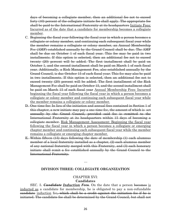days of becoming a collegiate member, then an additional fee not to exceed forty (40) percent of the collegiate initiate fee shall apply. The appropriate fee shall be paid to the International Fraternity at its headquarters Initiate Fees: Incurred as of the date that a candidate for membership becomes a collegiate member.

- C. Beginning the fiscal year following the fiscal year in which a person becomes a collegiate or colony member, and continuing each subsequent fiscal year while the member remains a collegiate or colony member, an Annual Membership Fee (AMF) established annually by the Grand Council shall be due. The AMF shall be due on October 1 of each fiscal year. This fee may be paid in two installments. If this option is selected, then an additional fee not to exceed twenty (20) percent will be added. The first installment shall be paid on October 1, and the second installment shall be paid on March 1 of each fiscal year. Additionally, a Risk Management Fee, also established annually by the Grand Council, is due October 15 of each fiscal year. This fee may also be paid in two installments. If this option is selected, then an additional fee not to exceed twenty (20) percent will be added. The first installment of the Risk Management Fee shall be paid on October 15, and the second installment shall be paid on March 15 of each fiscal year Annual Membership Fees: Incurred beginning the fiscal year following the fiscal year in which a person becomes a collegiate or colony member and continuing each subsequent fiscal year while the member remains a collegiate or colony member.
- D. One-time fee: In lieu of the initiation and annual fees contained in Section 1 of this chapter, a new initiate may pay a one-time fee, the amount of which is set annually by the Grand Council, provided said fee is remitted to the International Fraternity at its headquarters within 15 days of becoming a collegiate member. Risk Management Assessment: Beginning the fiscal year following the fiscal year in which a person becomes a collegiate or emerging chapter member and continuing each subsequent fiscal year while the member remains a collegiate or emerging chapter member.
- E. Within fifteen (15) days following the date of membership (1) each alumnus member of a local fraternity installed as a chapter, (2) each alumnus member of any national fraternity merged with this Fraternity, and (3) each honorary initiate shall remit a fee established annually by the Grand Council to the International Fraternity.

#### **DIVISION THREE: COLLEGIATE ORGANIZATION**

…

# CHAPTER XVI: **Candidates**

SEC. 5. *Candidate Induction Fees.* On the date that a person becomes is inducted as a candidate for membership, he is obligated to pay a non-refundable candidate induction fee, which shall be a credit against the initiation fee if he is initiated. The candidate fee shall be determined by the Grand Council, but shall not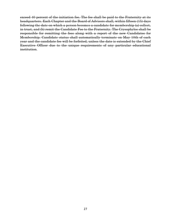exceed 40 percent of the initiation fee. The fee shall be paid to the Fraternity at its headquarters. Each Chapter and the Board of Advisors shall, within fifteen (15) days following the date on which a person becomes a candidate for membership (a) collect, in trust, and (b) remit the Candidate Fee to the Fraternity. The Crysophylos shall be responsible for remitting the fees along with a report of the new Candidates for Membership. Candidate status shall automatically terminate on May 10th of each year and the candidate fee will be forfeited, unless the date is extended by the Chief Executive Officer due to the unique requirements of any particular educational institution.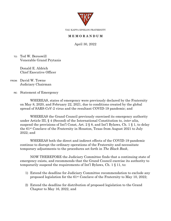

TAU KAPPA EPSILON FRATERNITY

# **M E M O R A N D U M**

April 30, 2022

TO: Ted W. Bereswill Venerable Grand Prytanis

> Donald E. Aldrich Chief Executive Officer

FROM: David W. Towne Judiciary Chairman

RE: Statement of Emergency

WHEREAS, states of emergency were previously declared by the Fraternity on May 8, 2020, and February 22, 2021, due to conditions created by the global spread of SARS-CoV-2 virus and the resultant COVID-19 pandemic; and

WHEREAS the Grand Council previously exercised its emergency authority under Article III, § 4 (Second) of the International Constitution to, *inter alia*, suspend the provisions of Int'l Const, Art. 2 § 8, and Int'l Bylaws, Ch. 1 § 1, to delay the 61st Conclave of the Fraternity in Houston, Texas from August 2021 to July 2022; and

WHEREAS both the direct and indirect effects of the COVID-19 pandemic continue to disrupt the ordinary operations of the Fraternity and necessitate temporary adjustments to the procedures set forth in *The Black Book*,

NOW THEREFORE the Judiciary Committee finds that a continuing state of emergency exists, and recommends that the Grand Council exercise its authority to temporarily suspend the requirements of Int'l Bylaws, Ch. 1 § 11, to:

- 1) Extend the deadline for Judiciary Committee recommendation to exclude any proposed legislation for the 61st Conclave of the Fraternity to May 10, 2022;
- 2) Extend the deadline for distribution of proposed legislation to the Grand Chapter to May 16, 2022, and